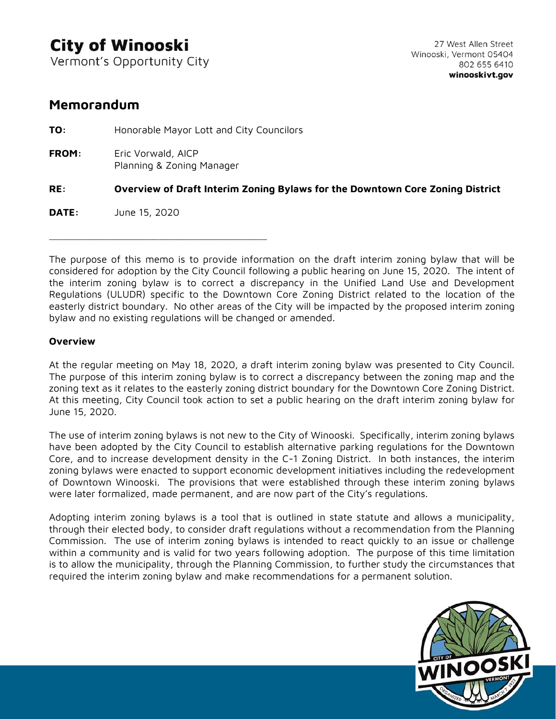# **City of Winooski**

Vermont's Opportunity City

# **Memorandum**

**TO:** Honorable Mayor Lott and City Councilors **FROM:** Eric Vorwald, AICP Planning & Zoning Manager **RE: Overview of Draft Interim Zoning Bylaws for the Downtown Core Zoning District DATE:** June 15, 2020 \_\_\_\_\_\_\_\_\_\_\_\_\_\_\_\_\_\_\_\_\_\_\_\_\_\_\_\_\_\_\_\_\_\_\_\_\_\_\_\_

The purpose of this memo is to provide information on the draft interim zoning bylaw that will be considered for adoption by the City Council following a public hearing on June 15, 2020. The intent of the interim zoning bylaw is to correct a discrepancy in the Unified Land Use and Development Regulations (ULUDR) specific to the Downtown Core Zoning District related to the location of the easterly district boundary. No other areas of the City will be impacted by the proposed interim zoning bylaw and no existing regulations will be changed or amended.

## **Overview**

At the regular meeting on May 18, 2020, a draft interim zoning bylaw was presented to City Council. The purpose of this interim zoning bylaw is to correct a discrepancy between the zoning map and the zoning text as it relates to the easterly zoning district boundary for the Downtown Core Zoning District. At this meeting, City Council took action to set a public hearing on the draft interim zoning bylaw for June 15, 2020.

The use of interim zoning bylaws is not new to the City of Winooski. Specifically, interim zoning bylaws have been adopted by the City Council to establish alternative parking regulations for the Downtown Core, and to increase development density in the C-1 Zoning District. In both instances, the interim zoning bylaws were enacted to support economic development initiatives including the redevelopment of Downtown Winooski. The provisions that were established through these interim zoning bylaws were later formalized, made permanent, and are now part of the City's regulations.

Adopting interim zoning bylaws is a tool that is outlined in state statute and allows a municipality, through their elected body, to consider draft regulations without a recommendation from the Planning Commission. The use of interim zoning bylaws is intended to react quickly to an issue or challenge within a community and is valid for two years following adoption. The purpose of this time limitation is to allow the municipality, through the Planning Commission, to further study the circumstances that required the interim zoning bylaw and make recommendations for a permanent solution.